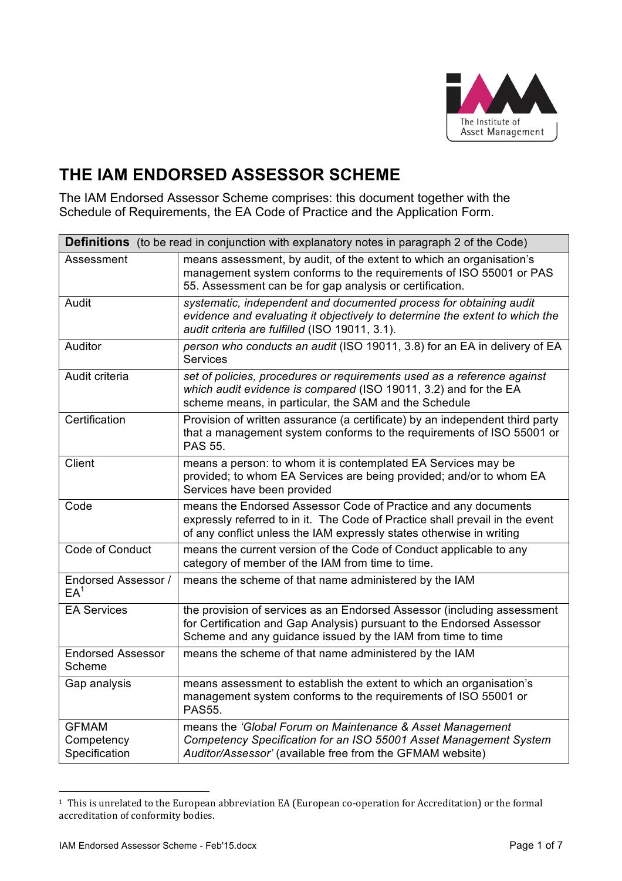

# **THE IAM ENDORSED ASSESSOR SCHEME**

The IAM Endorsed Assessor Scheme comprises: this document together with the Schedule of Requirements, the EA Code of Practice and the Application Form.

| <b>Definitions</b> (to be read in conjunction with explanatory notes in paragraph 2 of the Code) |                                                                                                                                                                                                                        |  |
|--------------------------------------------------------------------------------------------------|------------------------------------------------------------------------------------------------------------------------------------------------------------------------------------------------------------------------|--|
| Assessment                                                                                       | means assessment, by audit, of the extent to which an organisation's<br>management system conforms to the requirements of ISO 55001 or PAS<br>55. Assessment can be for gap analysis or certification.                 |  |
| Audit                                                                                            | systematic, independent and documented process for obtaining audit<br>evidence and evaluating it objectively to determine the extent to which the<br>audit criteria are fulfilled (ISO 19011, 3.1).                    |  |
| Auditor                                                                                          | person who conducts an audit (ISO 19011, 3.8) for an EA in delivery of EA<br><b>Services</b>                                                                                                                           |  |
| Audit criteria                                                                                   | set of policies, procedures or requirements used as a reference against<br>which audit evidence is compared (ISO 19011, 3.2) and for the EA<br>scheme means, in particular, the SAM and the Schedule                   |  |
| Certification                                                                                    | Provision of written assurance (a certificate) by an independent third party<br>that a management system conforms to the requirements of ISO 55001 or<br>PAS 55.                                                       |  |
| Client                                                                                           | means a person: to whom it is contemplated EA Services may be<br>provided; to whom EA Services are being provided; and/or to whom EA<br>Services have been provided                                                    |  |
| Code                                                                                             | means the Endorsed Assessor Code of Practice and any documents<br>expressly referred to in it. The Code of Practice shall prevail in the event<br>of any conflict unless the IAM expressly states otherwise in writing |  |
| Code of Conduct                                                                                  | means the current version of the Code of Conduct applicable to any<br>category of member of the IAM from time to time.                                                                                                 |  |
| <b>Endorsed Assessor /</b><br>$EA^1$                                                             | means the scheme of that name administered by the IAM                                                                                                                                                                  |  |
| <b>EA Services</b>                                                                               | the provision of services as an Endorsed Assessor (including assessment<br>for Certification and Gap Analysis) pursuant to the Endorsed Assessor<br>Scheme and any guidance issued by the IAM from time to time        |  |
| <b>Endorsed Assessor</b><br>Scheme                                                               | means the scheme of that name administered by the IAM                                                                                                                                                                  |  |
| Gap analysis                                                                                     | means assessment to establish the extent to which an organisation's<br>management system conforms to the requirements of ISO 55001 or<br><b>PAS55.</b>                                                                 |  |
| <b>GFMAM</b><br>Competency<br>Specification                                                      | means the 'Global Forum on Maintenance & Asset Management<br>Competency Specification for an ISO 55001 Asset Management System<br>Auditor/Assessor' (available free from the GFMAM website)                            |  |

<sup>&</sup>lt;sup>1</sup> This is unrelated to the European abbreviation EA (European co-operation for Accreditation) or the formal accreditation of conformity bodies.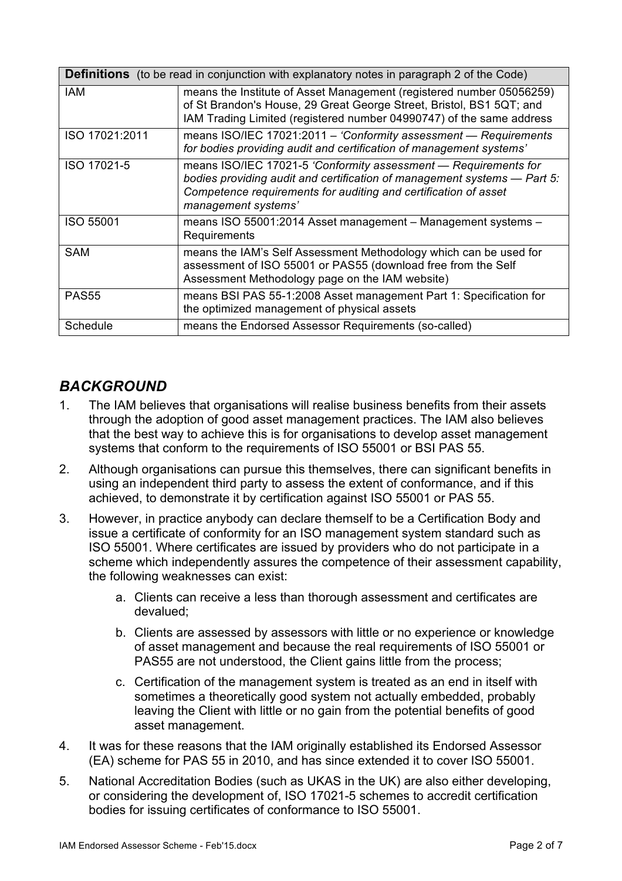| <b>Definitions</b> (to be read in conjunction with explanatory notes in paragraph 2 of the Code) |                                                                                                                                                                                                                                       |  |
|--------------------------------------------------------------------------------------------------|---------------------------------------------------------------------------------------------------------------------------------------------------------------------------------------------------------------------------------------|--|
| <b>IAM</b>                                                                                       | means the Institute of Asset Management (registered number 05056259)<br>of St Brandon's House, 29 Great George Street, Bristol, BS1 5QT; and<br>IAM Trading Limited (registered number 04990747) of the same address                  |  |
| ISO 17021:2011                                                                                   | means ISO/IEC 17021:2011 - 'Conformity assessment - Requirements<br>for bodies providing audit and certification of management systems'                                                                                               |  |
| ISO 17021-5                                                                                      | means ISO/IEC 17021-5 'Conformity assessment - Requirements for<br>bodies providing audit and certification of management systems - Part 5:<br>Competence requirements for auditing and certification of asset<br>management systems' |  |
| <b>ISO 55001</b>                                                                                 | means ISO 55001:2014 Asset management - Management systems -<br>Requirements                                                                                                                                                          |  |
| <b>SAM</b>                                                                                       | means the IAM's Self Assessment Methodology which can be used for<br>assessment of ISO 55001 or PAS55 (download free from the Self<br>Assessment Methodology page on the IAM website)                                                 |  |
| <b>PAS55</b>                                                                                     | means BSI PAS 55-1:2008 Asset management Part 1: Specification for<br>the optimized management of physical assets                                                                                                                     |  |
| Schedule                                                                                         | means the Endorsed Assessor Requirements (so-called)                                                                                                                                                                                  |  |

### *BACKGROUND*

- 1. The IAM believes that organisations will realise business benefits from their assets through the adoption of good asset management practices. The IAM also believes that the best way to achieve this is for organisations to develop asset management systems that conform to the requirements of ISO 55001 or BSI PAS 55.
- 2. Although organisations can pursue this themselves, there can significant benefits in using an independent third party to assess the extent of conformance, and if this achieved, to demonstrate it by certification against ISO 55001 or PAS 55.
- 3. However, in practice anybody can declare themself to be a Certification Body and issue a certificate of conformity for an ISO management system standard such as ISO 55001. Where certificates are issued by providers who do not participate in a scheme which independently assures the competence of their assessment capability, the following weaknesses can exist:
	- a. Clients can receive a less than thorough assessment and certificates are devalued;
	- b. Clients are assessed by assessors with little or no experience or knowledge of asset management and because the real requirements of ISO 55001 or PAS55 are not understood, the Client gains little from the process;
	- c. Certification of the management system is treated as an end in itself with sometimes a theoretically good system not actually embedded, probably leaving the Client with little or no gain from the potential benefits of good asset management.
- 4. It was for these reasons that the IAM originally established its Endorsed Assessor (EA) scheme for PAS 55 in 2010, and has since extended it to cover ISO 55001.
- 5. National Accreditation Bodies (such as UKAS in the UK) are also either developing, or considering the development of, ISO 17021-5 schemes to accredit certification bodies for issuing certificates of conformance to ISO 55001.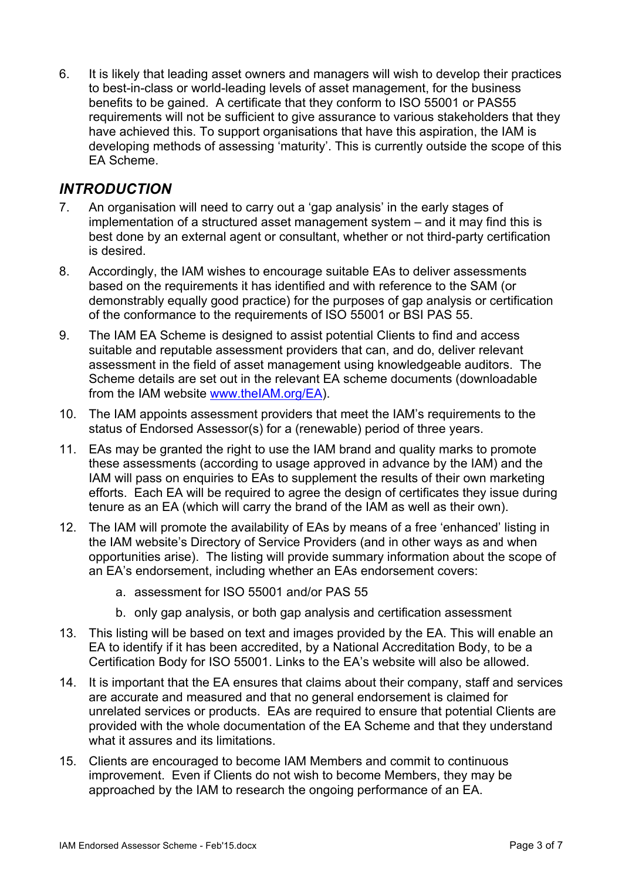6. It is likely that leading asset owners and managers will wish to develop their practices to best-in-class or world-leading levels of asset management, for the business benefits to be gained. A certificate that they conform to ISO 55001 or PAS55 requirements will not be sufficient to give assurance to various stakeholders that they have achieved this. To support organisations that have this aspiration, the IAM is developing methods of assessing 'maturity'. This is currently outside the scope of this EA Scheme.

#### *INTRODUCTION*

- 7. An organisation will need to carry out a 'gap analysis' in the early stages of implementation of a structured asset management system – and it may find this is best done by an external agent or consultant, whether or not third-party certification is desired.
- 8. Accordingly, the IAM wishes to encourage suitable EAs to deliver assessments based on the requirements it has identified and with reference to the SAM (or demonstrably equally good practice) for the purposes of gap analysis or certification of the conformance to the requirements of ISO 55001 or BSI PAS 55.
- 9. The IAM EA Scheme is designed to assist potential Clients to find and access suitable and reputable assessment providers that can, and do, deliver relevant assessment in the field of asset management using knowledgeable auditors. The Scheme details are set out in the relevant EA scheme documents (downloadable from the IAM website www.theIAM.org/EA).
- 10. The IAM appoints assessment providers that meet the IAM's requirements to the status of Endorsed Assessor(s) for a (renewable) period of three years.
- 11. EAs may be granted the right to use the IAM brand and quality marks to promote these assessments (according to usage approved in advance by the IAM) and the IAM will pass on enquiries to EAs to supplement the results of their own marketing efforts. Each EA will be required to agree the design of certificates they issue during tenure as an EA (which will carry the brand of the IAM as well as their own).
- 12. The IAM will promote the availability of EAs by means of a free 'enhanced' listing in the IAM website's Directory of Service Providers (and in other ways as and when opportunities arise). The listing will provide summary information about the scope of an EA's endorsement, including whether an EAs endorsement covers:
	- a. assessment for ISO 55001 and/or PAS 55
	- b. only gap analysis, or both gap analysis and certification assessment
- 13. This listing will be based on text and images provided by the EA. This will enable an EA to identify if it has been accredited, by a National Accreditation Body, to be a Certification Body for ISO 55001. Links to the EA's website will also be allowed.
- 14. It is important that the EA ensures that claims about their company, staff and services are accurate and measured and that no general endorsement is claimed for unrelated services or products. EAs are required to ensure that potential Clients are provided with the whole documentation of the EA Scheme and that they understand what it assures and its limitations.
- 15. Clients are encouraged to become IAM Members and commit to continuous improvement. Even if Clients do not wish to become Members, they may be approached by the IAM to research the ongoing performance of an EA.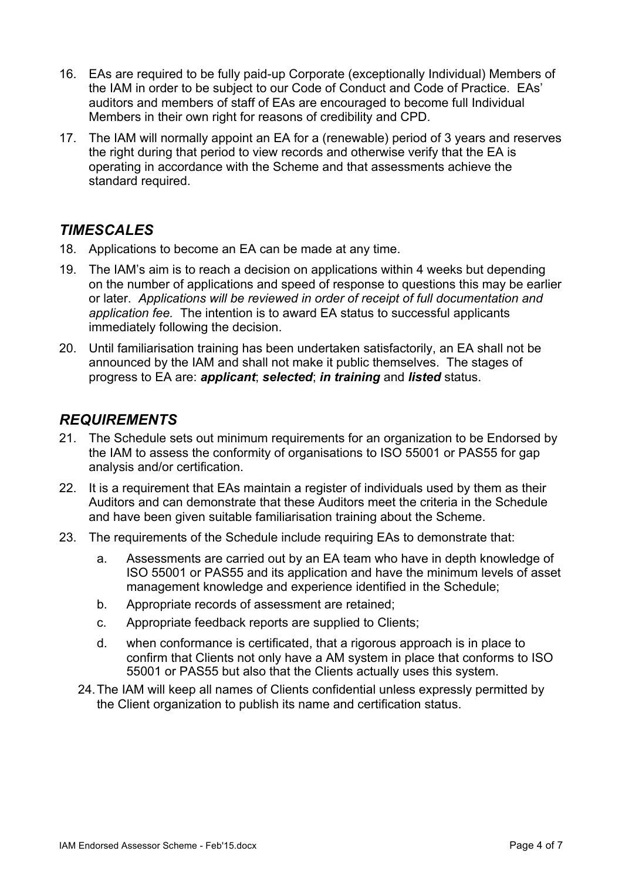- 16. EAs are required to be fully paid-up Corporate (exceptionally Individual) Members of the IAM in order to be subject to our Code of Conduct and Code of Practice. EAs' auditors and members of staff of EAs are encouraged to become full Individual Members in their own right for reasons of credibility and CPD.
- 17. The IAM will normally appoint an EA for a (renewable) period of 3 years and reserves the right during that period to view records and otherwise verify that the EA is operating in accordance with the Scheme and that assessments achieve the standard required.

## *TIMESCALES*

- 18. Applications to become an EA can be made at any time.
- 19. The IAM's aim is to reach a decision on applications within 4 weeks but depending on the number of applications and speed of response to questions this may be earlier or later. *Applications will be reviewed in order of receipt of full documentation and application fee.* The intention is to award EA status to successful applicants immediately following the decision.
- 20. Until familiarisation training has been undertaken satisfactorily, an EA shall not be announced by the IAM and shall not make it public themselves. The stages of progress to EA are: *applicant*; *selected*; *in training* and *listed* status.

#### *REQUIREMENTS*

- 21. The Schedule sets out minimum requirements for an organization to be Endorsed by the IAM to assess the conformity of organisations to ISO 55001 or PAS55 for gap analysis and/or certification.
- 22. It is a requirement that EAs maintain a register of individuals used by them as their Auditors and can demonstrate that these Auditors meet the criteria in the Schedule and have been given suitable familiarisation training about the Scheme.
- 23. The requirements of the Schedule include requiring EAs to demonstrate that:
	- a. Assessments are carried out by an EA team who have in depth knowledge of ISO 55001 or PAS55 and its application and have the minimum levels of asset management knowledge and experience identified in the Schedule;
	- b. Appropriate records of assessment are retained;
	- c. Appropriate feedback reports are supplied to Clients;
	- d. when conformance is certificated, that a rigorous approach is in place to confirm that Clients not only have a AM system in place that conforms to ISO 55001 or PAS55 but also that the Clients actually uses this system.
	- 24.The IAM will keep all names of Clients confidential unless expressly permitted by the Client organization to publish its name and certification status.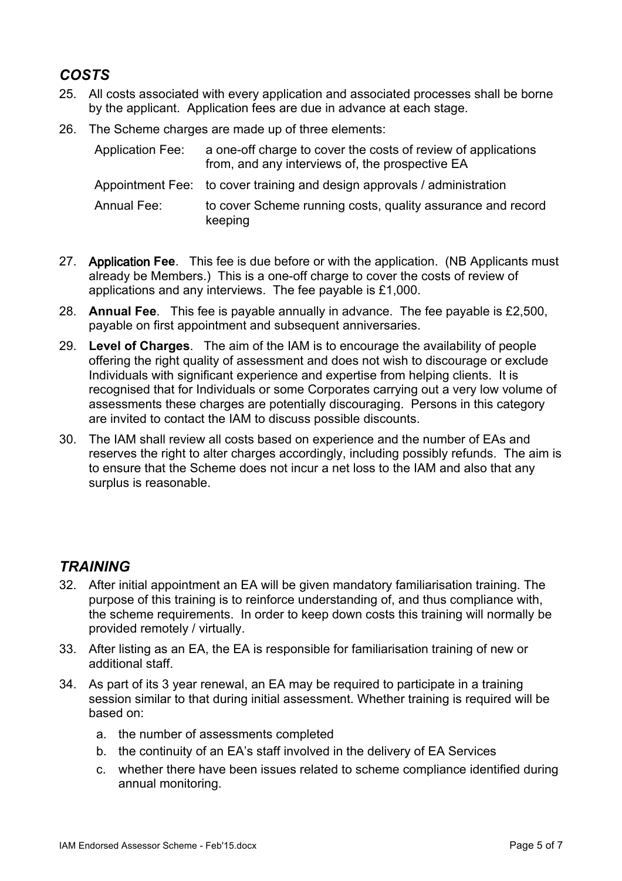## *COSTS*

- 25. All costs associated with every application and associated processes shall be borne by the applicant. Application fees are due in advance at each stage.
- 26. The Scheme charges are made up of three elements:

| Application Fee: | a one-off charge to cover the costs of review of applications<br>from, and any interviews of, the prospective EA |
|------------------|------------------------------------------------------------------------------------------------------------------|
|                  | Appointment Fee: to cover training and design approvals / administration                                         |
| Annual Fee:      | to cover Scheme running costs, quality assurance and record<br>keeping                                           |

- 27. Application **Fee**. This fee is due before or with the application. (NB Applicants must already be Members.) This is a one-off charge to cover the costs of review of applications and any interviews. The fee payable is £1,000.
- 28. **Annual Fee**. This fee is payable annually in advance. The fee payable is £2,500, payable on first appointment and subsequent anniversaries.
- 29. **Level of Charges**. The aim of the IAM is to encourage the availability of people offering the right quality of assessment and does not wish to discourage or exclude Individuals with significant experience and expertise from helping clients. It is recognised that for Individuals or some Corporates carrying out a very low volume of assessments these charges are potentially discouraging. Persons in this category are invited to contact the IAM to discuss possible discounts.
- 30. The IAM shall review all costs based on experience and the number of EAs and reserves the right to alter charges accordingly, including possibly refunds. The aim is to ensure that the Scheme does not incur a net loss to the IAM and also that any surplus is reasonable.

#### *TRAINING*

- 32. After initial appointment an EA will be given mandatory familiarisation training. The purpose of this training is to reinforce understanding of, and thus compliance with, the scheme requirements. In order to keep down costs this training will normally be provided remotely / virtually.
- 33. After listing as an EA, the EA is responsible for familiarisation training of new or additional staff.
- 34. As part of its 3 year renewal, an EA may be required to participate in a training session similar to that during initial assessment. Whether training is required will be based on:
	- a. the number of assessments completed
	- b. the continuity of an EA's staff involved in the delivery of EA Services
	- c. whether there have been issues related to scheme compliance identified during annual monitoring.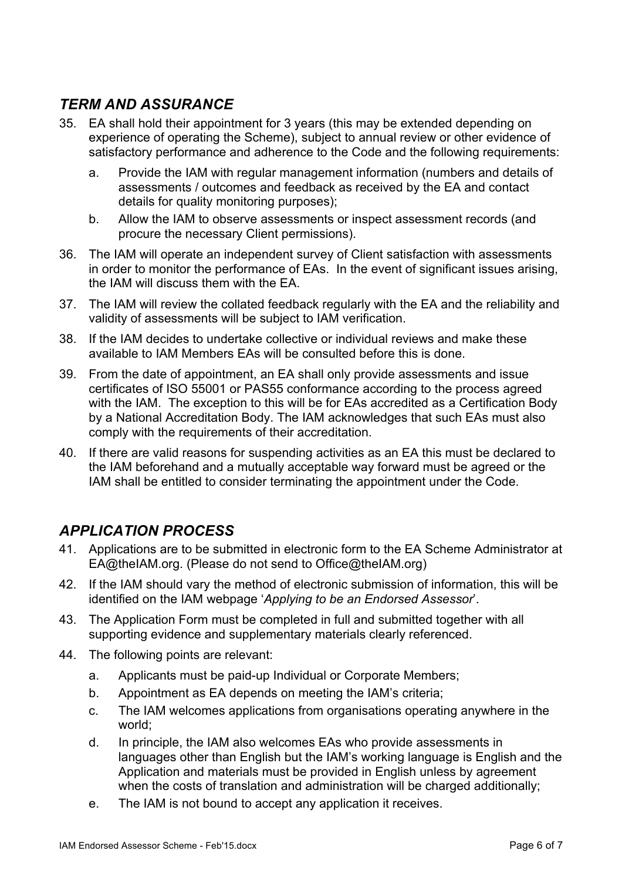## *TERM AND ASSURANCE*

- 35. EA shall hold their appointment for 3 years (this may be extended depending on experience of operating the Scheme), subject to annual review or other evidence of satisfactory performance and adherence to the Code and the following requirements:
	- a. Provide the IAM with regular management information (numbers and details of assessments / outcomes and feedback as received by the EA and contact details for quality monitoring purposes);
	- b. Allow the IAM to observe assessments or inspect assessment records (and procure the necessary Client permissions).
- 36. The IAM will operate an independent survey of Client satisfaction with assessments in order to monitor the performance of EAs. In the event of significant issues arising, the IAM will discuss them with the EA.
- 37. The IAM will review the collated feedback regularly with the EA and the reliability and validity of assessments will be subject to IAM verification.
- 38. If the IAM decides to undertake collective or individual reviews and make these available to IAM Members EAs will be consulted before this is done.
- 39. From the date of appointment, an EA shall only provide assessments and issue certificates of ISO 55001 or PAS55 conformance according to the process agreed with the IAM. The exception to this will be for EAs accredited as a Certification Body by a National Accreditation Body. The IAM acknowledges that such EAs must also comply with the requirements of their accreditation.
- 40. If there are valid reasons for suspending activities as an EA this must be declared to the IAM beforehand and a mutually acceptable way forward must be agreed or the IAM shall be entitled to consider terminating the appointment under the Code.

## *APPLICATION PROCESS*

- 41. Applications are to be submitted in electronic form to the EA Scheme Administrator at EA@theIAM.org. (Please do not send to Office@theIAM.org)
- 42. If the IAM should vary the method of electronic submission of information, this will be identified on the IAM webpage '*Applying to be an Endorsed Assessor*'.
- 43. The Application Form must be completed in full and submitted together with all supporting evidence and supplementary materials clearly referenced.
- 44. The following points are relevant:
	- a. Applicants must be paid-up Individual or Corporate Members;
	- b. Appointment as EA depends on meeting the IAM's criteria;
	- c. The IAM welcomes applications from organisations operating anywhere in the world;
	- d. In principle, the IAM also welcomes EAs who provide assessments in languages other than English but the IAM's working language is English and the Application and materials must be provided in English unless by agreement when the costs of translation and administration will be charged additionally;
	- e. The IAM is not bound to accept any application it receives.